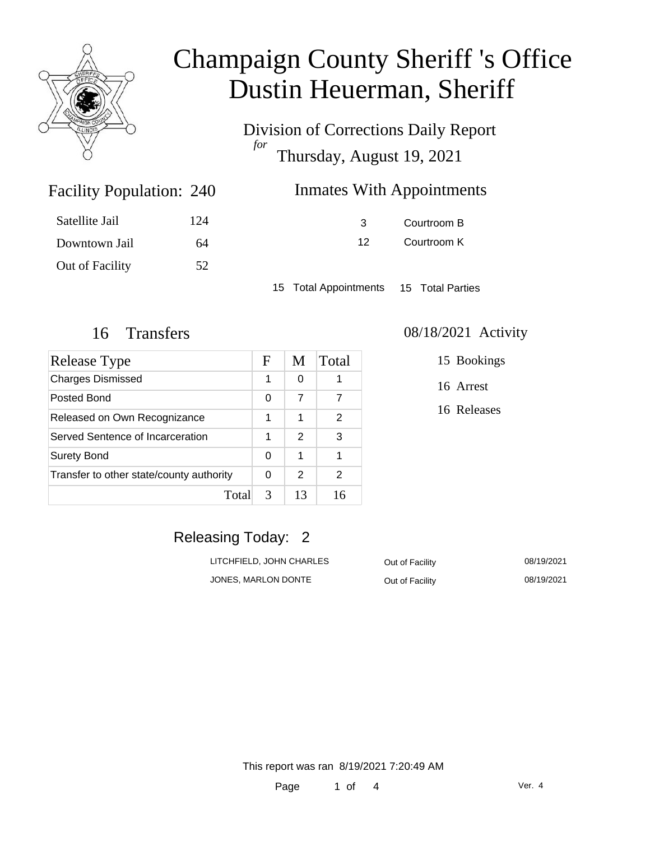

Division of Corrections Daily Report *for* Thursday, August 19, 2021

### Inmates With Appointments

| Satellite Jail  | 124 |
|-----------------|-----|
| Downtown Jail   | 64  |
| Out of Facility | 52  |

Facility Population: 240

3 Courtroom B 12 Courtroom K

15 Total Appointments 15 Total Parties

| Release Type                             | F | M  | Total |
|------------------------------------------|---|----|-------|
| <b>Charges Dismissed</b>                 | 1 | 0  |       |
| Posted Bond                              | 0 | 7  | 7     |
| Released on Own Recognizance             | 1 | 1  | 2     |
| Served Sentence of Incarceration         | 1 | 2  | 3     |
| <b>Surety Bond</b>                       | 0 | 1  |       |
| Transfer to other state/county authority | 0 | 2  | 2     |
| Total                                    | 3 | 13 | 16    |

### 16 Transfers 08/18/2021 Activity

15 Bookings

16 Arrest

16 Releases

## Releasing Today: 2

LITCHFIELD, JOHN CHARLES **Out of Facility** 08/19/2021 JONES, MARLON DONTE **Out of Facility OB/19/2021**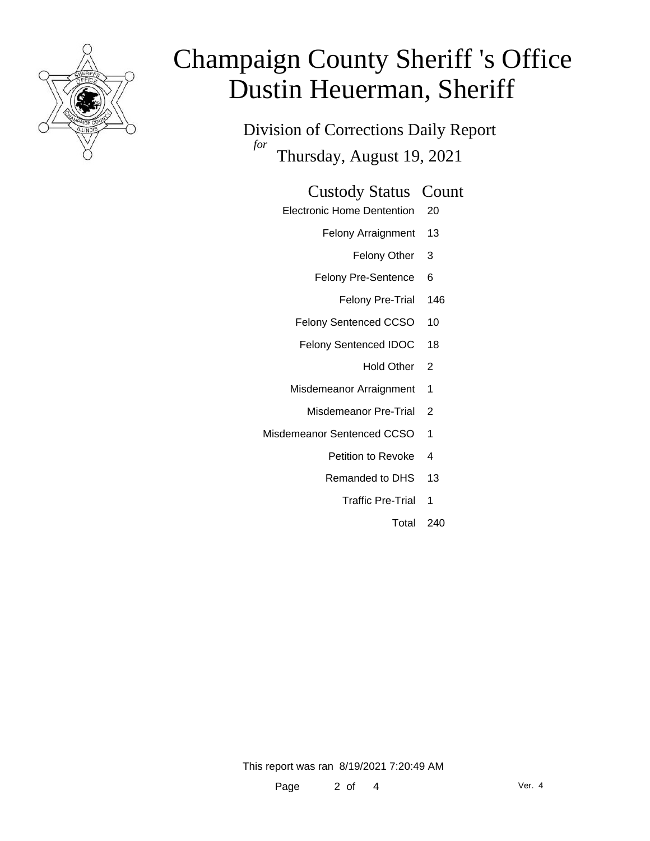

Division of Corrections Daily Report *for* Thursday, August 19, 2021

### Custody Status Count

- Electronic Home Dentention 20
	- Felony Arraignment 13
		- Felony Other 3
	- Felony Pre-Sentence 6
		- Felony Pre-Trial 146
	- Felony Sentenced CCSO 10
	- Felony Sentenced IDOC 18
		- Hold Other<sub>2</sub>
	- Misdemeanor Arraignment 1
		- Misdemeanor Pre-Trial 2
- Misdemeanor Sentenced CCSO 1
	- Petition to Revoke 4
	- Remanded to DHS 13
		- Traffic Pre-Trial 1
			- Total 240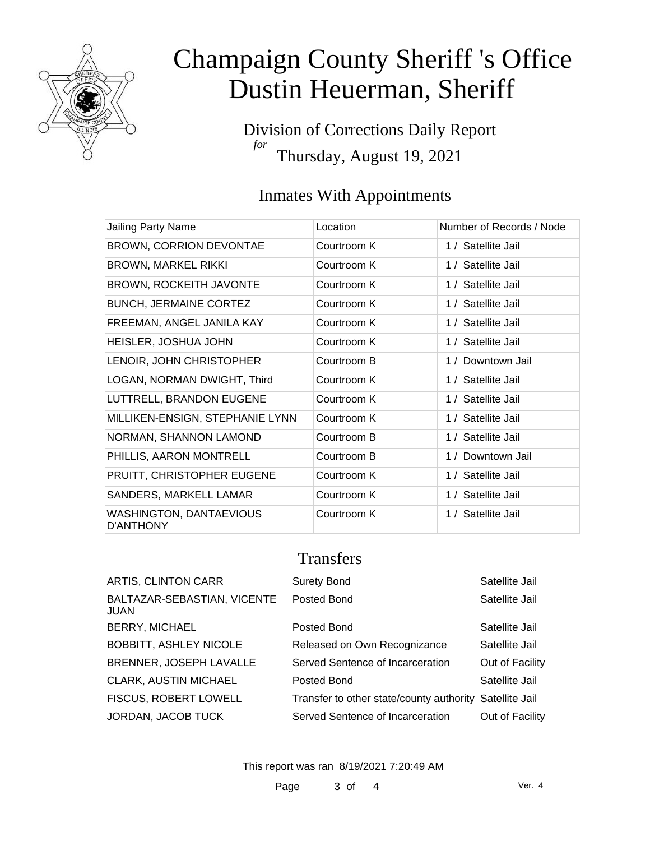

Division of Corrections Daily Report *for* Thursday, August 19, 2021

### Inmates With Appointments

| Jailing Party Name                                 | Location    | Number of Records / Node |
|----------------------------------------------------|-------------|--------------------------|
| <b>BROWN, CORRION DEVONTAE</b>                     | Courtroom K | 1 / Satellite Jail       |
| <b>BROWN, MARKEL RIKKI</b>                         | Courtroom K | 1 / Satellite Jail       |
| <b>BROWN, ROCKEITH JAVONTE</b>                     | Courtroom K | 1 / Satellite Jail       |
| <b>BUNCH, JERMAINE CORTEZ</b>                      | Courtroom K | 1 / Satellite Jail       |
| FREEMAN, ANGEL JANILA KAY                          | Courtroom K | 1 / Satellite Jail       |
| HEISLER, JOSHUA JOHN                               | Courtroom K | 1 / Satellite Jail       |
| LENOIR, JOHN CHRISTOPHER                           | Courtroom B | 1 / Downtown Jail        |
| LOGAN, NORMAN DWIGHT, Third                        | Courtroom K | 1 / Satellite Jail       |
| LUTTRELL, BRANDON EUGENE                           | Courtroom K | 1 / Satellite Jail       |
| MILLIKEN-ENSIGN, STEPHANIE LYNN                    | Courtroom K | 1 / Satellite Jail       |
| NORMAN, SHANNON LAMOND                             | Courtroom B | 1 / Satellite Jail       |
| PHILLIS, AARON MONTRELL                            | Courtroom B | 1 / Downtown Jail        |
| PRUITT, CHRISTOPHER EUGENE                         | Courtroom K | 1 / Satellite Jail       |
| SANDERS, MARKELL LAMAR                             | Courtroom K | 1 / Satellite Jail       |
| <b>WASHINGTON, DANTAEVIOUS</b><br><b>D'ANTHONY</b> | Courtroom K | 1 / Satellite Jail       |

### **Transfers**

| ARTIS, CLINTON CARR                 | <b>Surety Bond</b>                                      | Satellite Jail  |
|-------------------------------------|---------------------------------------------------------|-----------------|
| BALTAZAR-SEBASTIAN, VICENTE<br>JUAN | Posted Bond                                             | Satellite Jail  |
| <b>BERRY, MICHAEL</b>               | Posted Bond                                             | Satellite Jail  |
| <b>BOBBITT, ASHLEY NICOLE</b>       | Released on Own Recognizance                            | Satellite Jail  |
| <b>BRENNER, JOSEPH LAVALLE</b>      | Served Sentence of Incarceration                        | Out of Facility |
| CLARK, AUSTIN MICHAEL               | Posted Bond                                             | Satellite Jail  |
| <b>FISCUS, ROBERT LOWELL</b>        | Transfer to other state/county authority Satellite Jail |                 |
| JORDAN, JACOB TUCK                  | Served Sentence of Incarceration                        | Out of Facility |
|                                     |                                                         |                 |